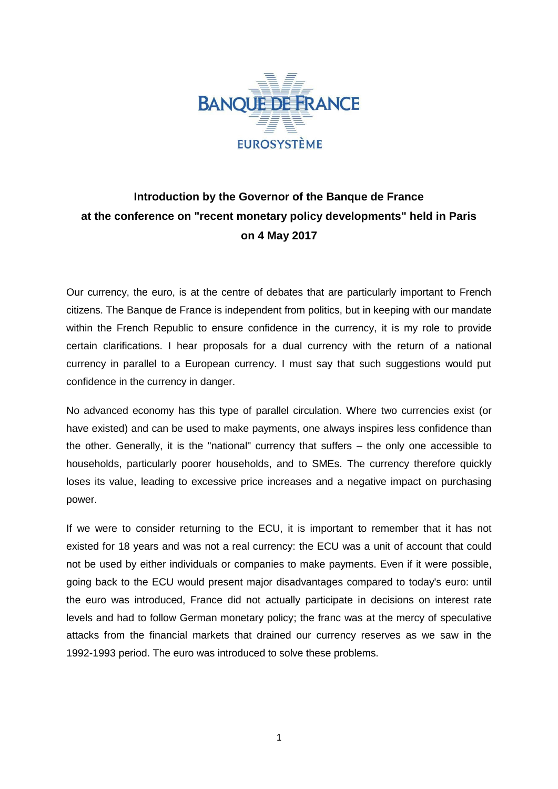

## **Introduction by the Governor of the Banque de France at the conference on "recent monetary policy developments" held in Paris on 4 May 2017**

Our currency, the euro, is at the centre of debates that are particularly important to French citizens. The Banque de France is independent from politics, but in keeping with our mandate within the French Republic to ensure confidence in the currency, it is my role to provide certain clarifications. I hear proposals for a dual currency with the return of a national currency in parallel to a European currency. I must say that such suggestions would put confidence in the currency in danger.

No advanced economy has this type of parallel circulation. Where two currencies exist (or have existed) and can be used to make payments, one always inspires less confidence than the other. Generally, it is the "national" currency that suffers – the only one accessible to households, particularly poorer households, and to SMEs. The currency therefore quickly loses its value, leading to excessive price increases and a negative impact on purchasing power.

If we were to consider returning to the ECU, it is important to remember that it has not existed for 18 years and was not a real currency: the ECU was a unit of account that could not be used by either individuals or companies to make payments. Even if it were possible, going back to the ECU would present major disadvantages compared to today's euro: until the euro was introduced, France did not actually participate in decisions on interest rate levels and had to follow German monetary policy; the franc was at the mercy of speculative attacks from the financial markets that drained our currency reserves as we saw in the 1992-1993 period. The euro was introduced to solve these problems.